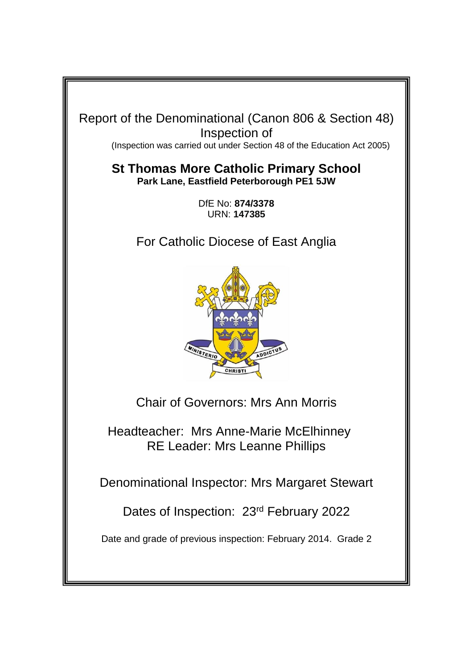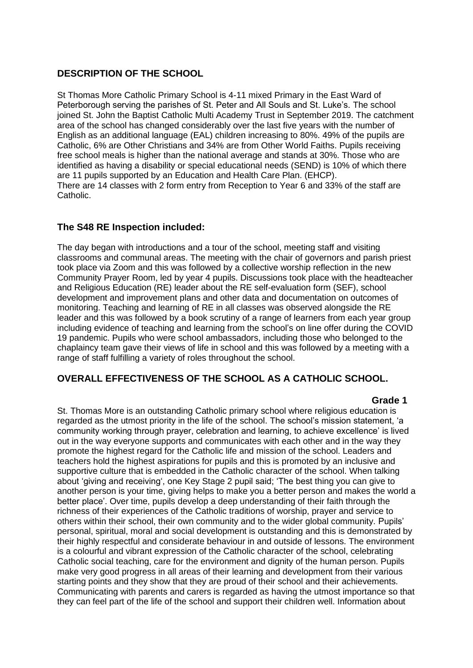## **DESCRIPTION OF THE SCHOOL**

St Thomas More Catholic Primary School is 4-11 mixed Primary in the East Ward of Peterborough serving the parishes of St. Peter and All Souls and St. Luke's. The school joined St. John the Baptist Catholic Multi Academy Trust in September 2019. The catchment area of the school has changed considerably over the last five years with the number of English as an additional language (EAL) children increasing to 80%. 49% of the pupils are Catholic, 6% are Other Christians and 34% are from Other World Faiths. Pupils receiving free school meals is higher than the national average and stands at 30%. Those who are identified as having a disability or special educational needs (SEND) is 10% of which there are 11 pupils supported by an Education and Health Care Plan. (EHCP). There are 14 classes with 2 form entry from Reception to Year 6 and 33% of the staff are Catholic.

## **The S48 RE Inspection included:**

The day began with introductions and a tour of the school, meeting staff and visiting classrooms and communal areas. The meeting with the chair of governors and parish priest took place via Zoom and this was followed by a collective worship reflection in the new Community Prayer Room, led by year 4 pupils. Discussions took place with the headteacher and Religious Education (RE) leader about the RE self-evaluation form (SEF), school development and improvement plans and other data and documentation on outcomes of monitoring. Teaching and learning of RE in all classes was observed alongside the RE leader and this was followed by a book scrutiny of a range of learners from each year group including evidence of teaching and learning from the school's on line offer during the COVID 19 pandemic. Pupils who were school ambassadors, including those who belonged to the chaplaincy team gave their views of life in school and this was followed by a meeting with a range of staff fulfilling a variety of roles throughout the school.

## **OVERALL EFFECTIVENESS OF THE SCHOOL AS A CATHOLIC SCHOOL.**

#### **Grade 1**

St. Thomas More is an outstanding Catholic primary school where religious education is regarded as the utmost priority in the life of the school. The school's mission statement, 'a community working through prayer, celebration and learning, to achieve excellence' is lived out in the way everyone supports and communicates with each other and in the way they promote the highest regard for the Catholic life and mission of the school. Leaders and teachers hold the highest aspirations for pupils and this is promoted by an inclusive and supportive culture that is embedded in the Catholic character of the school. When talking about 'giving and receiving', one Key Stage 2 pupil said; 'The best thing you can give to another person is your time, giving helps to make you a better person and makes the world a better place'. Over time, pupils develop a deep understanding of their faith through the richness of their experiences of the Catholic traditions of worship, prayer and service to others within their school, their own community and to the wider global community. Pupils' personal, spiritual, moral and social development is outstanding and this is demonstrated by their highly respectful and considerate behaviour in and outside of lessons. The environment is a colourful and vibrant expression of the Catholic character of the school, celebrating Catholic social teaching, care for the environment and dignity of the human person. Pupils make very good progress in all areas of their learning and development from their various starting points and they show that they are proud of their school and their achievements. Communicating with parents and carers is regarded as having the utmost importance so that they can feel part of the life of the school and support their children well. Information about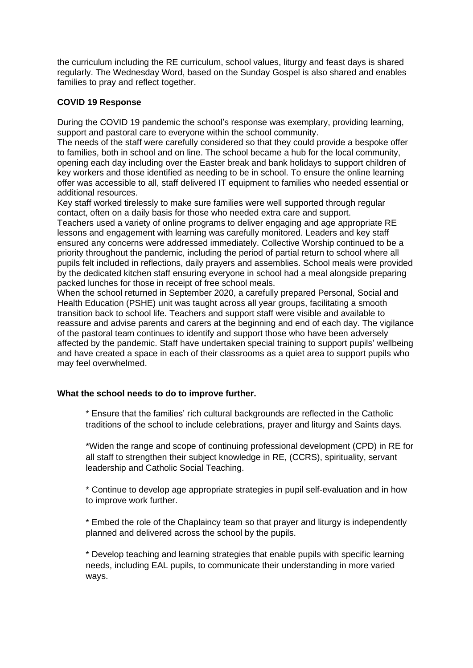the curriculum including the RE curriculum, school values, liturgy and feast days is shared regularly. The Wednesday Word, based on the Sunday Gospel is also shared and enables families to pray and reflect together.

## **COVID 19 Response**

During the COVID 19 pandemic the school's response was exemplary, providing learning, support and pastoral care to everyone within the school community.

The needs of the staff were carefully considered so that they could provide a bespoke offer to families, both in school and on line. The school became a hub for the local community, opening each day including over the Easter break and bank holidays to support children of key workers and those identified as needing to be in school. To ensure the online learning offer was accessible to all, staff delivered IT equipment to families who needed essential or additional resources.

Key staff worked tirelessly to make sure families were well supported through regular contact, often on a daily basis for those who needed extra care and support.

Teachers used a variety of online programs to deliver engaging and age appropriate RE lessons and engagement with learning was carefully monitored. Leaders and key staff ensured any concerns were addressed immediately. Collective Worship continued to be a priority throughout the pandemic, including the period of partial return to school where all pupils felt included in reflections, daily prayers and assemblies. School meals were provided by the dedicated kitchen staff ensuring everyone in school had a meal alongside preparing packed lunches for those in receipt of free school meals.

When the school returned in September 2020, a carefully prepared Personal, Social and Health Education (PSHE) unit was taught across all year groups, facilitating a smooth transition back to school life. Teachers and support staff were visible and available to reassure and advise parents and carers at the beginning and end of each day. The vigilance of the pastoral team continues to identify and support those who have been adversely affected by the pandemic. Staff have undertaken special training to support pupils' wellbeing and have created a space in each of their classrooms as a quiet area to support pupils who may feel overwhelmed.

#### **What the school needs to do to improve further.**

\* Ensure that the families' rich cultural backgrounds are reflected in the Catholic traditions of the school to include celebrations, prayer and liturgy and Saints days.

\*Widen the range and scope of continuing professional development (CPD) in RE for all staff to strengthen their subject knowledge in RE, (CCRS), spirituality, servant leadership and Catholic Social Teaching.

\* Continue to develop age appropriate strategies in pupil self-evaluation and in how to improve work further.

\* Embed the role of the Chaplaincy team so that prayer and liturgy is independently planned and delivered across the school by the pupils.

\* Develop teaching and learning strategies that enable pupils with specific learning needs, including EAL pupils, to communicate their understanding in more varied ways.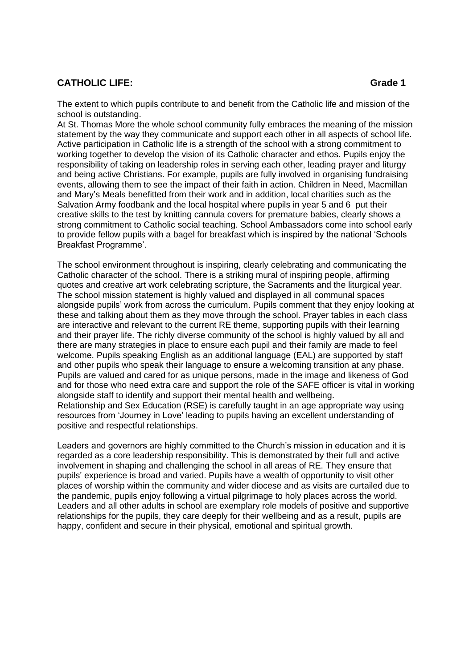## **CATHOLIC LIFE:** Grade 1

The extent to which pupils contribute to and benefit from the Catholic life and mission of the school is outstanding.

At St. Thomas More the whole school community fully embraces the meaning of the mission statement by the way they communicate and support each other in all aspects of school life. Active participation in Catholic life is a strength of the school with a strong commitment to working together to develop the vision of its Catholic character and ethos. Pupils enjoy the responsibility of taking on leadership roles in serving each other, leading prayer and liturgy and being active Christians. For example, pupils are fully involved in organising fundraising events, allowing them to see the impact of their faith in action. Children in Need, Macmillan and Mary's Meals benefitted from their work and in addition, local charities such as the Salvation Army foodbank and the local hospital where pupils in year 5 and 6 put their creative skills to the test by knitting cannula covers for premature babies, clearly shows a strong commitment to Catholic social teaching. School Ambassadors come into school early to provide fellow pupils with a bagel for breakfast which is inspired by the national 'Schools Breakfast Programme'.

The school environment throughout is inspiring, clearly celebrating and communicating the Catholic character of the school. There is a striking mural of inspiring people, affirming quotes and creative art work celebrating scripture, the Sacraments and the liturgical year. The school mission statement is highly valued and displayed in all communal spaces alongside pupils' work from across the curriculum. Pupils comment that they enjoy looking at these and talking about them as they move through the school. Prayer tables in each class are interactive and relevant to the current RE theme, supporting pupils with their learning and their prayer life. The richly diverse community of the school is highly valued by all and there are many strategies in place to ensure each pupil and their family are made to feel welcome. Pupils speaking English as an additional language (EAL) are supported by staff and other pupils who speak their language to ensure a welcoming transition at any phase. Pupils are valued and cared for as unique persons, made in the image and likeness of God and for those who need extra care and support the role of the SAFE officer is vital in working alongside staff to identify and support their mental health and wellbeing. Relationship and Sex Education (RSE) is carefully taught in an age appropriate way using resources from 'Journey in Love' leading to pupils having an excellent understanding of positive and respectful relationships.

Leaders and governors are highly committed to the Church's mission in education and it is regarded as a core leadership responsibility. This is demonstrated by their full and active involvement in shaping and challenging the school in all areas of RE. They ensure that pupils' experience is broad and varied. Pupils have a wealth of opportunity to visit other places of worship within the community and wider diocese and as visits are curtailed due to the pandemic, pupils enjoy following a virtual pilgrimage to holy places across the world. Leaders and all other adults in school are exemplary role models of positive and supportive relationships for the pupils, they care deeply for their wellbeing and as a result, pupils are happy, confident and secure in their physical, emotional and spiritual growth.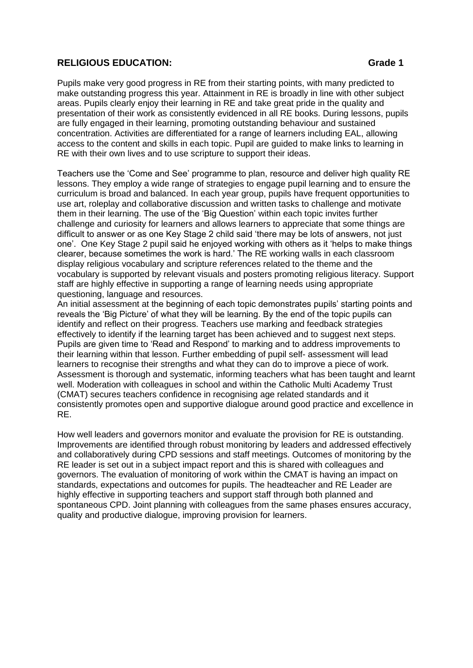#### **RELIGIOUS EDUCATION: Grade 1**

Pupils make very good progress in RE from their starting points, with many predicted to make outstanding progress this year. Attainment in RE is broadly in line with other subject areas. Pupils clearly enjoy their learning in RE and take great pride in the quality and presentation of their work as consistently evidenced in all RE books. During lessons, pupils are fully engaged in their learning, promoting outstanding behaviour and sustained concentration. Activities are differentiated for a range of learners including EAL, allowing access to the content and skills in each topic. Pupil are guided to make links to learning in RE with their own lives and to use scripture to support their ideas.

Teachers use the 'Come and See' programme to plan, resource and deliver high quality RE lessons. They employ a wide range of strategies to engage pupil learning and to ensure the curriculum is broad and balanced. In each year group, pupils have frequent opportunities to use art, roleplay and collaborative discussion and written tasks to challenge and motivate them in their learning. The use of the 'Big Question' within each topic invites further challenge and curiosity for learners and allows learners to appreciate that some things are difficult to answer or as one Key Stage 2 child said 'there may be lots of answers, not just one'. One Key Stage 2 pupil said he enjoyed working with others as it 'helps to make things clearer, because sometimes the work is hard.' The RE working walls in each classroom display religious vocabulary and scripture references related to the theme and the vocabulary is supported by relevant visuals and posters promoting religious literacy. Support staff are highly effective in supporting a range of learning needs using appropriate questioning, language and resources.

An initial assessment at the beginning of each topic demonstrates pupils' starting points and reveals the 'Big Picture' of what they will be learning. By the end of the topic pupils can identify and reflect on their progress. Teachers use marking and feedback strategies effectively to identify if the learning target has been achieved and to suggest next steps. Pupils are given time to 'Read and Respond' to marking and to address improvements to their learning within that lesson. Further embedding of pupil self- assessment will lead learners to recognise their strengths and what they can do to improve a piece of work. Assessment is thorough and systematic, informing teachers what has been taught and learnt well. Moderation with colleagues in school and within the Catholic Multi Academy Trust (CMAT) secures teachers confidence in recognising age related standards and it consistently promotes open and supportive dialogue around good practice and excellence in RE.

How well leaders and governors monitor and evaluate the provision for RE is outstanding. Improvements are identified through robust monitoring by leaders and addressed effectively and collaboratively during CPD sessions and staff meetings. Outcomes of monitoring by the RE leader is set out in a subject impact report and this is shared with colleagues and governors. The evaluation of monitoring of work within the CMAT is having an impact on standards, expectations and outcomes for pupils. The headteacher and RE Leader are highly effective in supporting teachers and support staff through both planned and spontaneous CPD. Joint planning with colleagues from the same phases ensures accuracy, quality and productive dialogue, improving provision for learners.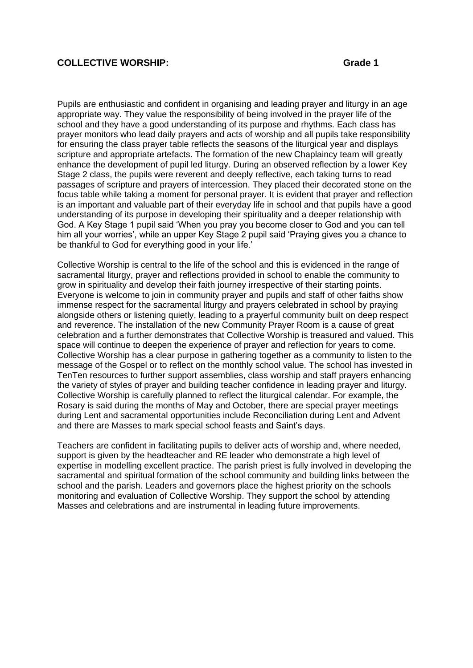#### **COLLECTIVE WORSHIP: Grade 1**

Pupils are enthusiastic and confident in organising and leading prayer and liturgy in an age appropriate way. They value the responsibility of being involved in the prayer life of the school and they have a good understanding of its purpose and rhythms. Each class has prayer monitors who lead daily prayers and acts of worship and all pupils take responsibility for ensuring the class prayer table reflects the seasons of the liturgical year and displays scripture and appropriate artefacts. The formation of the new Chaplaincy team will greatly enhance the development of pupil led liturgy. During an observed reflection by a lower Key Stage 2 class, the pupils were reverent and deeply reflective, each taking turns to read passages of scripture and prayers of intercession. They placed their decorated stone on the focus table while taking a moment for personal prayer. It is evident that prayer and reflection is an important and valuable part of their everyday life in school and that pupils have a good understanding of its purpose in developing their spirituality and a deeper relationship with God. A Key Stage 1 pupil said 'When you pray you become closer to God and you can tell him all your worries', while an upper Key Stage 2 pupil said 'Praying gives you a chance to be thankful to God for everything good in your life.'

Collective Worship is central to the life of the school and this is evidenced in the range of sacramental liturgy, prayer and reflections provided in school to enable the community to grow in spirituality and develop their faith journey irrespective of their starting points. Everyone is welcome to join in community prayer and pupils and staff of other faiths show immense respect for the sacramental liturgy and prayers celebrated in school by praying alongside others or listening quietly, leading to a prayerful community built on deep respect and reverence. The installation of the new Community Prayer Room is a cause of great celebration and a further demonstrates that Collective Worship is treasured and valued. This space will continue to deepen the experience of prayer and reflection for years to come. Collective Worship has a clear purpose in gathering together as a community to listen to the message of the Gospel or to reflect on the monthly school value. The school has invested in TenTen resources to further support assemblies, class worship and staff prayers enhancing the variety of styles of prayer and building teacher confidence in leading prayer and liturgy. Collective Worship is carefully planned to reflect the liturgical calendar. For example, the Rosary is said during the months of May and October, there are special prayer meetings during Lent and sacramental opportunities include Reconciliation during Lent and Advent and there are Masses to mark special school feasts and Saint's days.

Teachers are confident in facilitating pupils to deliver acts of worship and, where needed, support is given by the headteacher and RE leader who demonstrate a high level of expertise in modelling excellent practice. The parish priest is fully involved in developing the sacramental and spiritual formation of the school community and building links between the school and the parish. Leaders and governors place the highest priority on the schools monitoring and evaluation of Collective Worship. They support the school by attending Masses and celebrations and are instrumental in leading future improvements.